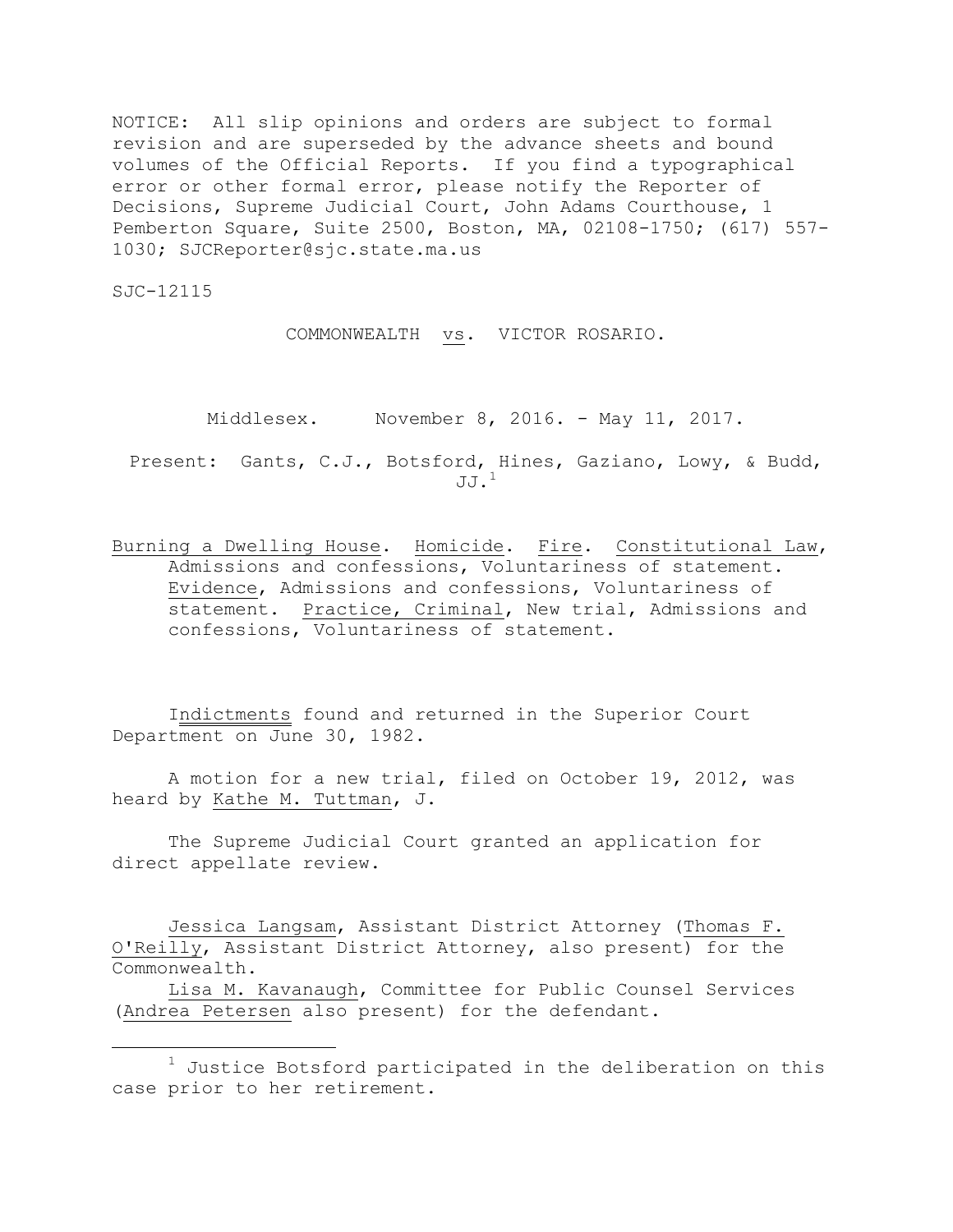NOTICE: All slip opinions and orders are subject to formal revision and are superseded by the advance sheets and bound volumes of the Official Reports. If you find a typographical error or other formal error, please notify the Reporter of Decisions, Supreme Judicial Court, John Adams Courthouse, 1 Pemberton Square, Suite 2500, Boston, MA, 02108-1750; (617) 557- 1030; SJCReporter@sjc.state.ma.us

SJC-12115

a<br>B

COMMONWEALTH vs. VICTOR ROSARIO.

Middlesex. November 8, 2016. - May 11, 2017.

Present: Gants, C.J., Botsford, Hines, Gaziano, Lowy, & Budd,  $JJ.$ <sup>1</sup>

Burning a Dwelling House. Homicide. Fire. Constitutional Law, Admissions and confessions, Voluntariness of statement. Evidence, Admissions and confessions, Voluntariness of statement. Practice, Criminal, New trial, Admissions and confessions, Voluntariness of statement.

Indictments found and returned in the Superior Court Department on June 30, 1982.

A motion for a new trial, filed on October 19, 2012, was heard by Kathe M. Tuttman, J.

The Supreme Judicial Court granted an application for direct appellate review.

Jessica Langsam, Assistant District Attorney (Thomas F. O'Reilly, Assistant District Attorney, also present) for the Commonwealth.

Lisa M. Kavanaugh, Committee for Public Counsel Services (Andrea Petersen also present) for the defendant.

 $1$  Justice Botsford participated in the deliberation on this case prior to her retirement.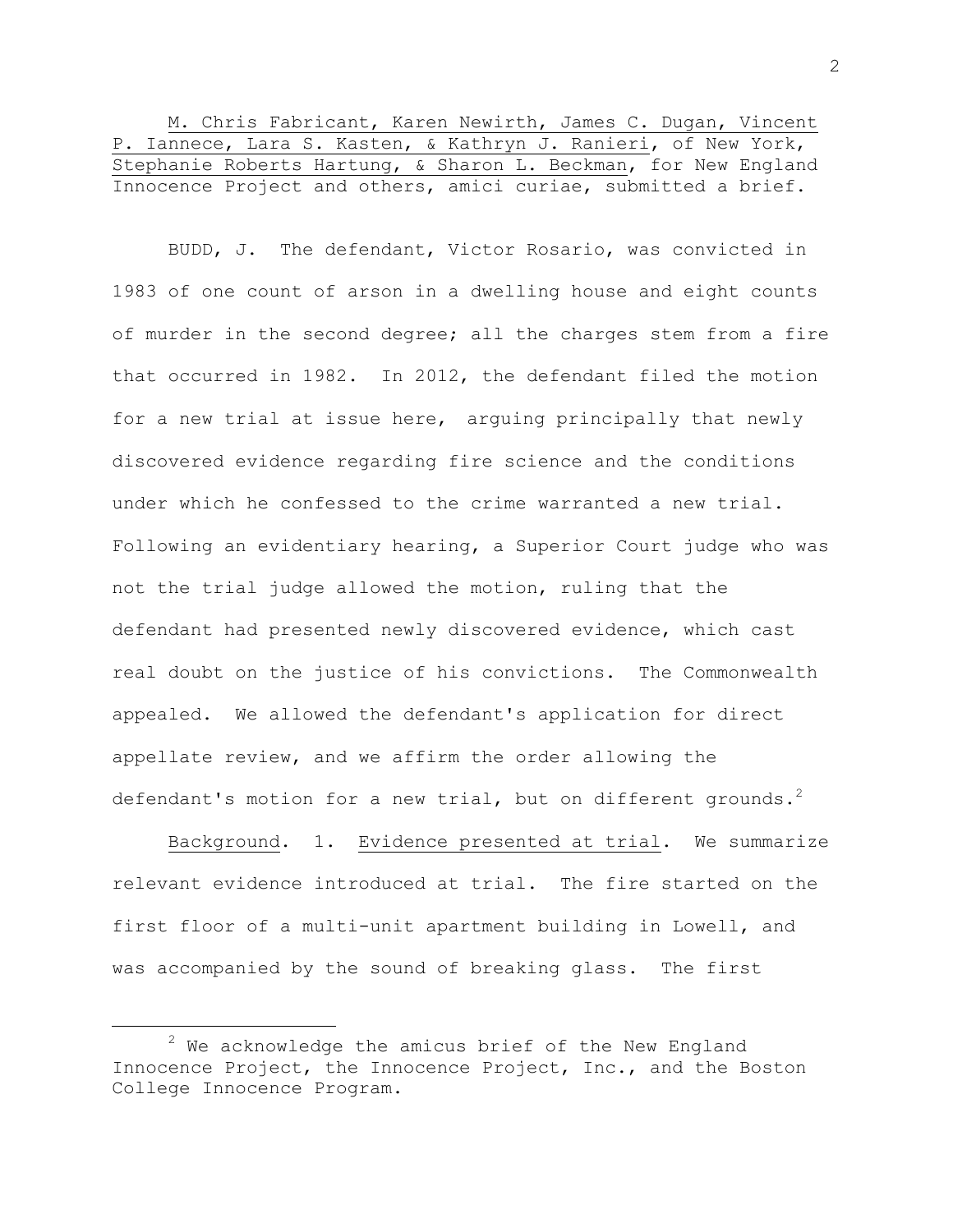M. Chris Fabricant, Karen Newirth, James C. Dugan, Vincent P. Iannece, Lara S. Kasten, & Kathryn J. Ranieri, of New York, Stephanie Roberts Hartung, & Sharon L. Beckman, for New England Innocence Project and others, amici curiae, submitted a brief.

BUDD, J. The defendant, Victor Rosario, was convicted in 1983 of one count of arson in a dwelling house and eight counts of murder in the second degree; all the charges stem from a fire that occurred in 1982. In 2012, the defendant filed the motion for a new trial at issue here, arguing principally that newly discovered evidence regarding fire science and the conditions under which he confessed to the crime warranted a new trial. Following an evidentiary hearing, a Superior Court judge who was not the trial judge allowed the motion, ruling that the defendant had presented newly discovered evidence, which cast real doubt on the justice of his convictions. The Commonwealth appealed. We allowed the defendant's application for direct appellate review, and we affirm the order allowing the defendant's motion for a new trial, but on different grounds. $^2$ 

Background. 1. Evidence presented at trial. We summarize relevant evidence introduced at trial. The fire started on the first floor of a multi-unit apartment building in Lowell, and was accompanied by the sound of breaking glass. The first

 $2$  We acknowledge the amicus brief of the New England Innocence Project, the Innocence Project, Inc., and the Boston College Innocence Program.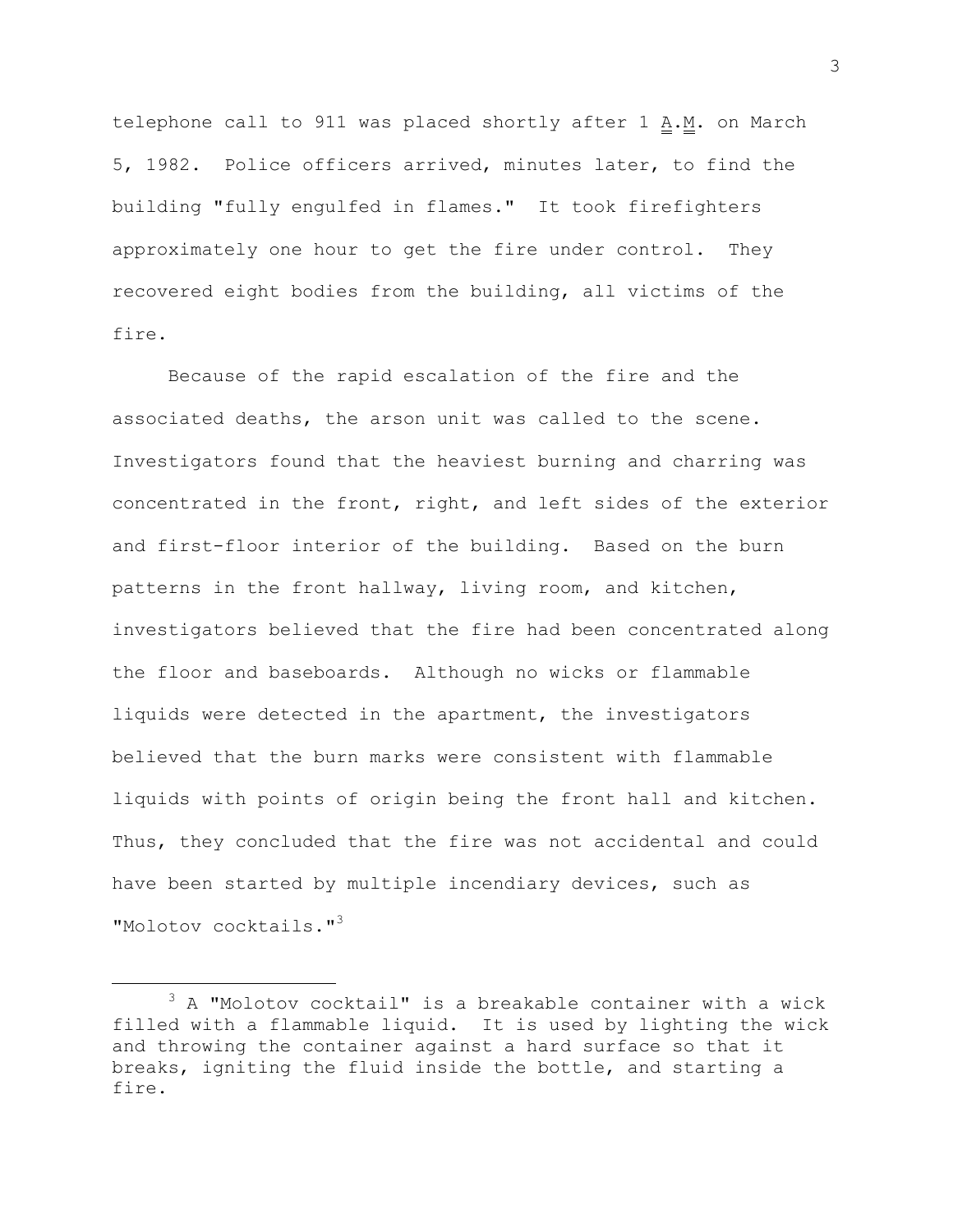telephone call to 911 was placed shortly after 1  $\mathbf{A} \cdot \mathbf{M}$ . on March 5, 1982. Police officers arrived, minutes later, to find the building "fully engulfed in flames." It took firefighters approximately one hour to get the fire under control. They recovered eight bodies from the building, all victims of the fire.

Because of the rapid escalation of the fire and the associated deaths, the arson unit was called to the scene. Investigators found that the heaviest burning and charring was concentrated in the front, right, and left sides of the exterior and first-floor interior of the building. Based on the burn patterns in the front hallway, living room, and kitchen, investigators believed that the fire had been concentrated along the floor and baseboards. Although no wicks or flammable liquids were detected in the apartment, the investigators believed that the burn marks were consistent with flammable liquids with points of origin being the front hall and kitchen. Thus, they concluded that the fire was not accidental and could have been started by multiple incendiary devices, such as "Molotov cocktails."<sup>3</sup>

L,

 $3$  A "Molotov cocktail" is a breakable container with a wick filled with a flammable liquid. It is used by lighting the wick and throwing the container against a hard surface so that it breaks, igniting the fluid inside the bottle, and starting a fire.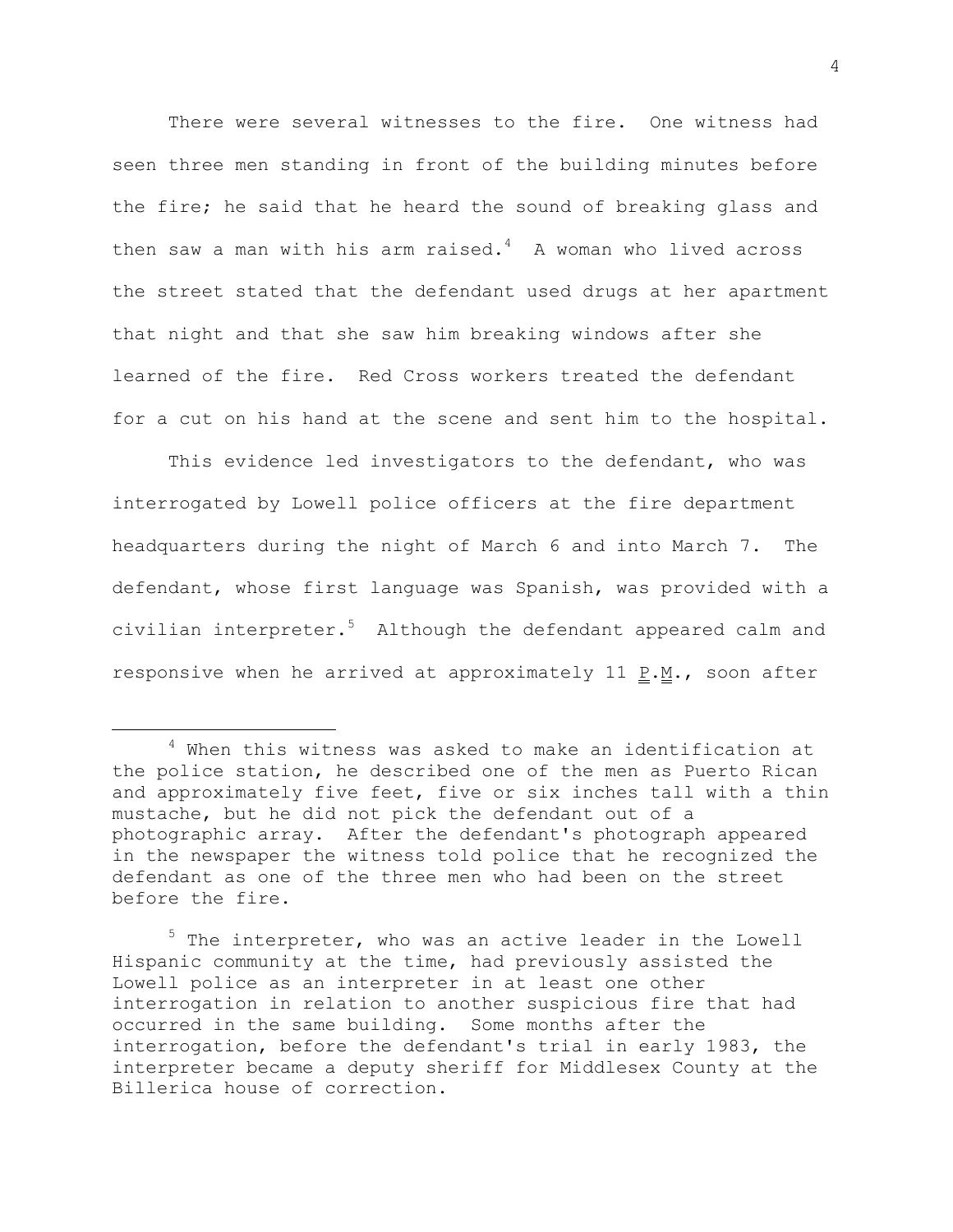There were several witnesses to the fire. One witness had seen three men standing in front of the building minutes before the fire; he said that he heard the sound of breaking glass and then saw a man with his arm raised. $4\,$  A woman who lived across the street stated that the defendant used drugs at her apartment that night and that she saw him breaking windows after she learned of the fire. Red Cross workers treated the defendant for a cut on his hand at the scene and sent him to the hospital.

This evidence led investigators to the defendant, who was interrogated by Lowell police officers at the fire department headquarters during the night of March 6 and into March 7. The defendant, whose first language was Spanish, was provided with a civilian interpreter. <sup>5</sup> Although the defendant appeared calm and responsive when he arrived at approximately 11  $\underline{P.M.}$ , soon after

L,

<sup>5</sup> The interpreter, who was an active leader in the Lowell Hispanic community at the time, had previously assisted the Lowell police as an interpreter in at least one other interrogation in relation to another suspicious fire that had occurred in the same building. Some months after the interrogation, before the defendant's trial in early 1983, the interpreter became a deputy sheriff for Middlesex County at the Billerica house of correction.

<sup>4</sup> When this witness was asked to make an identification at the police station, he described one of the men as Puerto Rican and approximately five feet, five or six inches tall with a thin mustache, but he did not pick the defendant out of a photographic array. After the defendant's photograph appeared in the newspaper the witness told police that he recognized the defendant as one of the three men who had been on the street before the fire.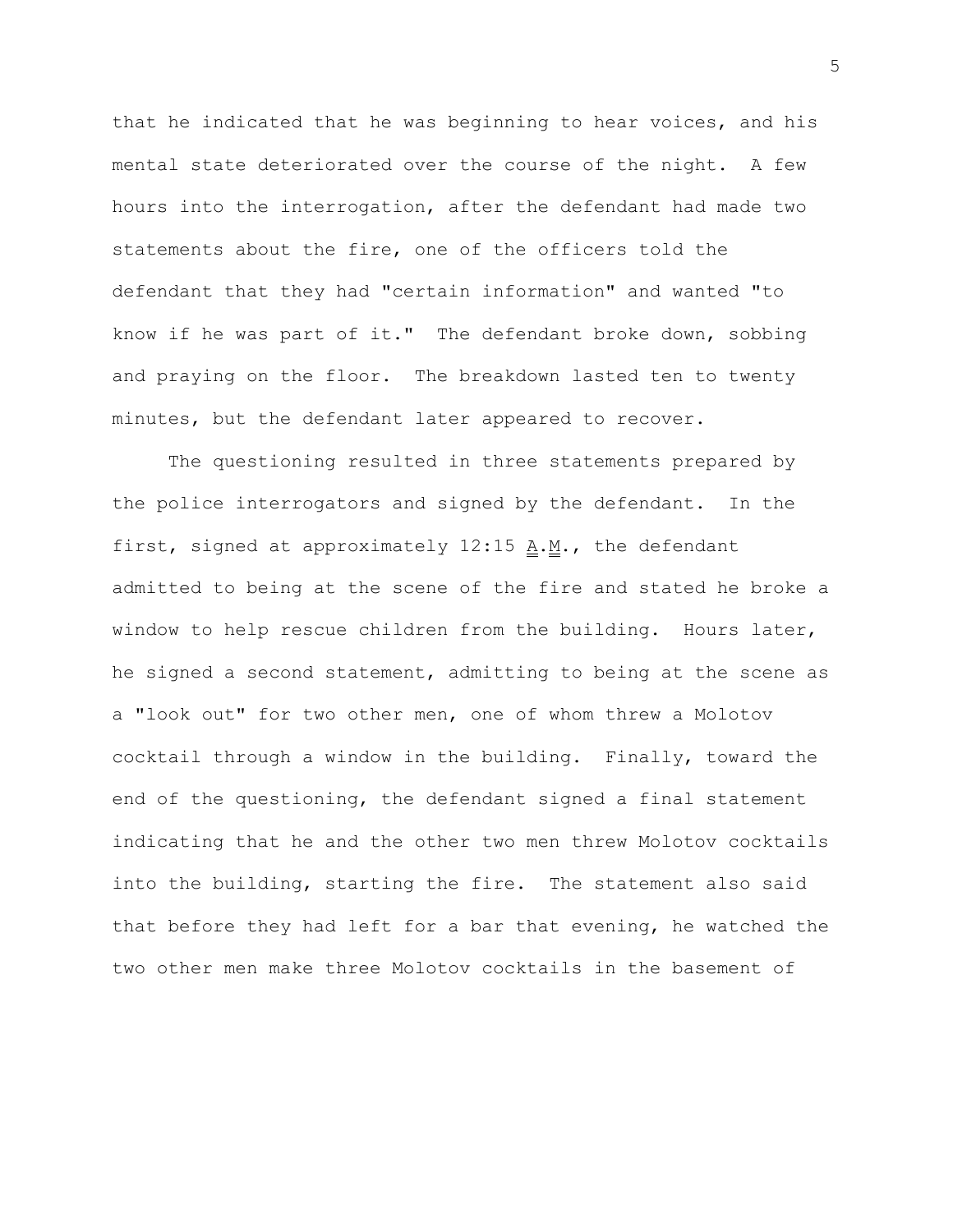that he indicated that he was beginning to hear voices, and his mental state deteriorated over the course of the night. A few hours into the interrogation, after the defendant had made two statements about the fire, one of the officers told the defendant that they had "certain information" and wanted "to know if he was part of it." The defendant broke down, sobbing and praying on the floor. The breakdown lasted ten to twenty minutes, but the defendant later appeared to recover.

The questioning resulted in three statements prepared by the police interrogators and signed by the defendant. In the first, signed at approximately  $12:15$   $\underline{A.M.}$ , the defendant admitted to being at the scene of the fire and stated he broke a window to help rescue children from the building. Hours later, he signed a second statement, admitting to being at the scene as a "look out" for two other men, one of whom threw a Molotov cocktail through a window in the building. Finally, toward the end of the questioning, the defendant signed a final statement indicating that he and the other two men threw Molotov cocktails into the building, starting the fire. The statement also said that before they had left for a bar that evening, he watched the two other men make three Molotov cocktails in the basement of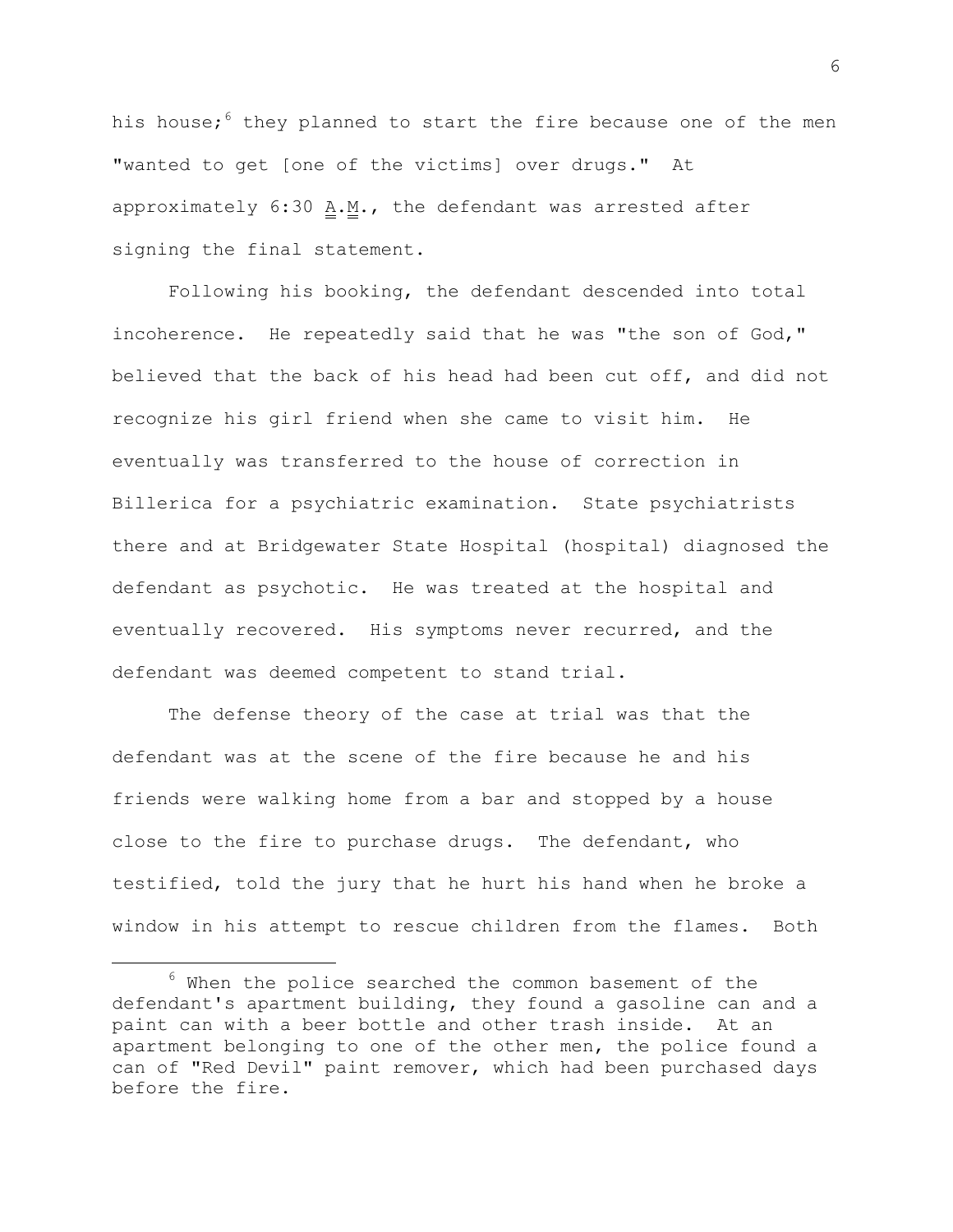his house;<sup>6</sup> they planned to start the fire because one of the men "wanted to get [one of the victims] over drugs." At approximately 6:30 A.M., the defendant was arrested after signing the final statement.

Following his booking, the defendant descended into total incoherence. He repeatedly said that he was "the son of God," believed that the back of his head had been cut off, and did not recognize his girl friend when she came to visit him. He eventually was transferred to the house of correction in Billerica for a psychiatric examination. State psychiatrists there and at Bridgewater State Hospital (hospital) diagnosed the defendant as psychotic. He was treated at the hospital and eventually recovered. His symptoms never recurred, and the defendant was deemed competent to stand trial.

The defense theory of the case at trial was that the defendant was at the scene of the fire because he and his friends were walking home from a bar and stopped by a house close to the fire to purchase drugs. The defendant, who testified, told the jury that he hurt his hand when he broke a window in his attempt to rescue children from the flames. Both

 $6$  When the police searched the common basement of the defendant's apartment building, they found a gasoline can and a paint can with a beer bottle and other trash inside. At an apartment belonging to one of the other men, the police found a can of "Red Devil" paint remover, which had been purchased days before the fire.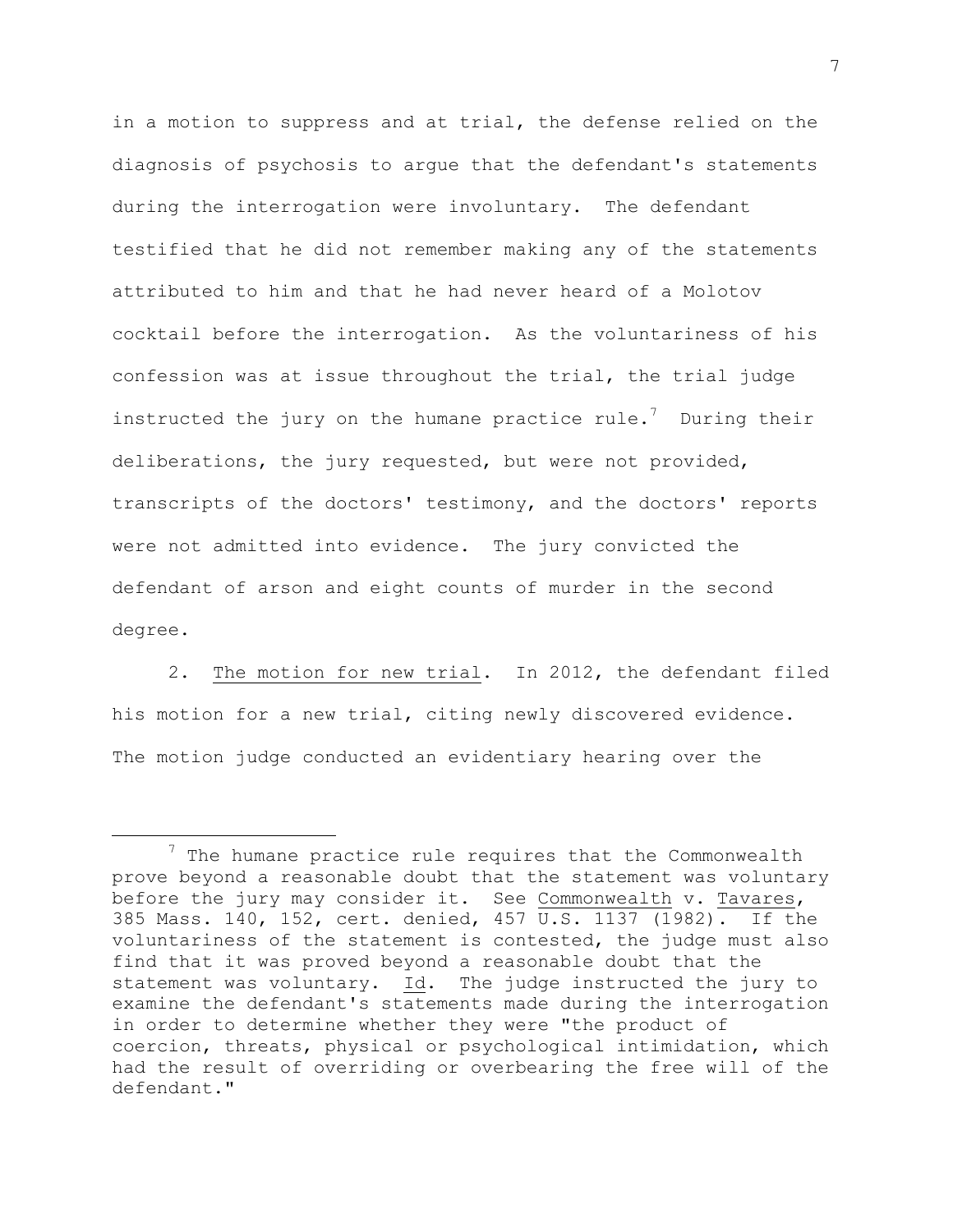in a motion to suppress and at trial, the defense relied on the diagnosis of psychosis to argue that the defendant's statements during the interrogation were involuntary. The defendant testified that he did not remember making any of the statements attributed to him and that he had never heard of a Molotov cocktail before the interrogation. As the voluntariness of his confession was at issue throughout the trial, the trial judge instructed the jury on the humane practice rule.<sup>7</sup> During their deliberations, the jury requested, but were not provided, transcripts of the doctors' testimony, and the doctors' reports were not admitted into evidence. The jury convicted the defendant of arson and eight counts of murder in the second degree.

2. The motion for new trial. In 2012, the defendant filed his motion for a new trial, citing newly discovered evidence. The motion judge conducted an evidentiary hearing over the

 $7$  The humane practice rule requires that the Commonwealth prove beyond a reasonable doubt that the statement was voluntary before the jury may consider it. See Commonwealth v. Tavares, 385 Mass. 140, 152, cert. denied, 457 U.S. 1137 (1982). If the voluntariness of the statement is contested, the judge must also find that it was proved beyond a reasonable doubt that the statement was voluntary. Id. The judge instructed the jury to examine the defendant's statements made during the interrogation in order to determine whether they were "the product of coercion, threats, physical or psychological intimidation, which had the result of overriding or overbearing the free will of the defendant."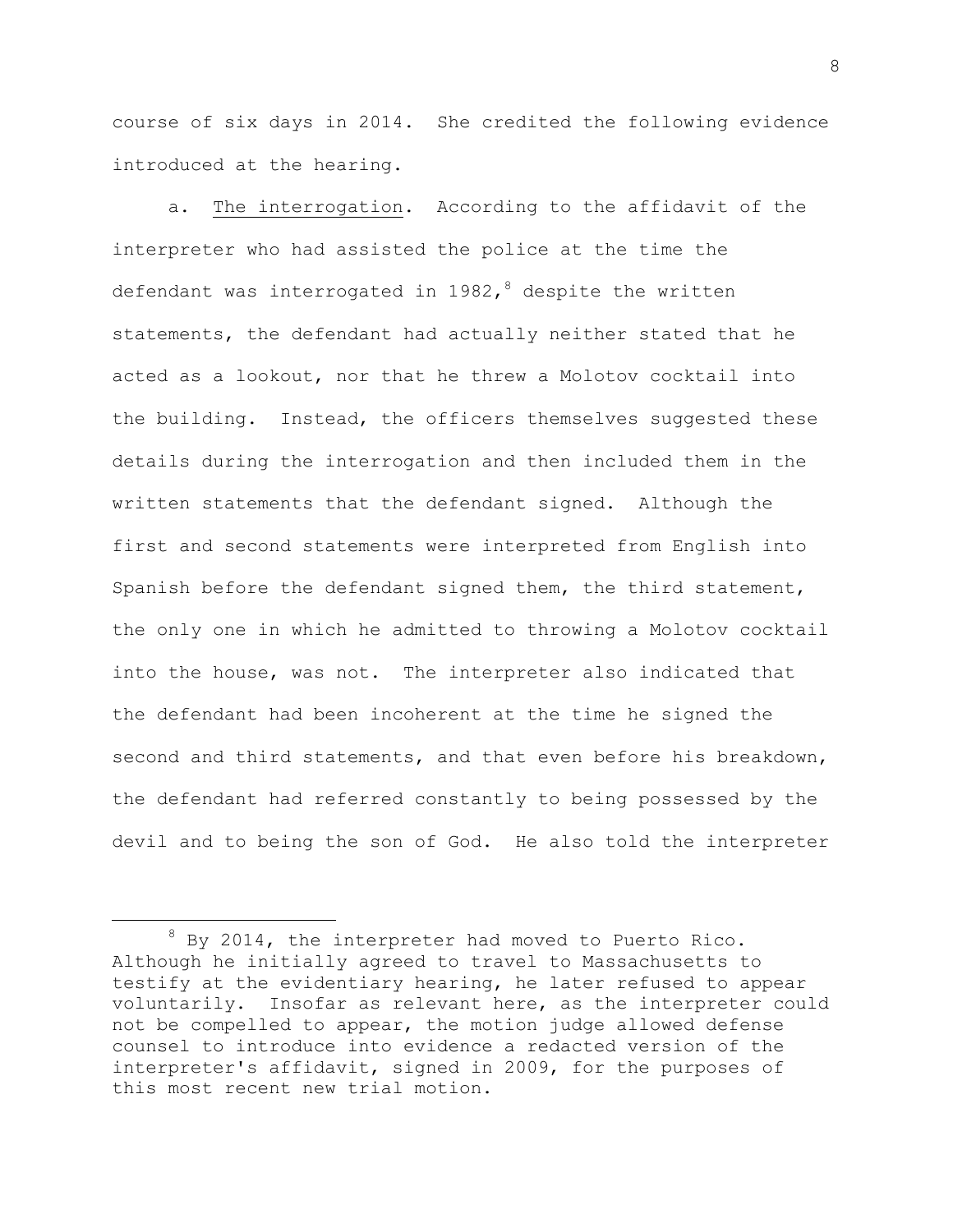course of six days in 2014. She credited the following evidence introduced at the hearing.

a. The interrogation. According to the affidavit of the interpreter who had assisted the police at the time the defendant was interrogated in 1982,  $\delta$  despite the written statements, the defendant had actually neither stated that he acted as a lookout, nor that he threw a Molotov cocktail into the building. Instead, the officers themselves suggested these details during the interrogation and then included them in the written statements that the defendant signed. Although the first and second statements were interpreted from English into Spanish before the defendant signed them, the third statement, the only one in which he admitted to throwing a Molotov cocktail into the house, was not. The interpreter also indicated that the defendant had been incoherent at the time he signed the second and third statements, and that even before his breakdown, the defendant had referred constantly to being possessed by the devil and to being the son of God. He also told the interpreter

<sup>&</sup>lt;sup>8</sup> By 2014, the interpreter had moved to Puerto Rico. Although he initially agreed to travel to Massachusetts to testify at the evidentiary hearing, he later refused to appear voluntarily. Insofar as relevant here, as the interpreter could not be compelled to appear, the motion judge allowed defense counsel to introduce into evidence a redacted version of the interpreter's affidavit, signed in 2009, for the purposes of this most recent new trial motion.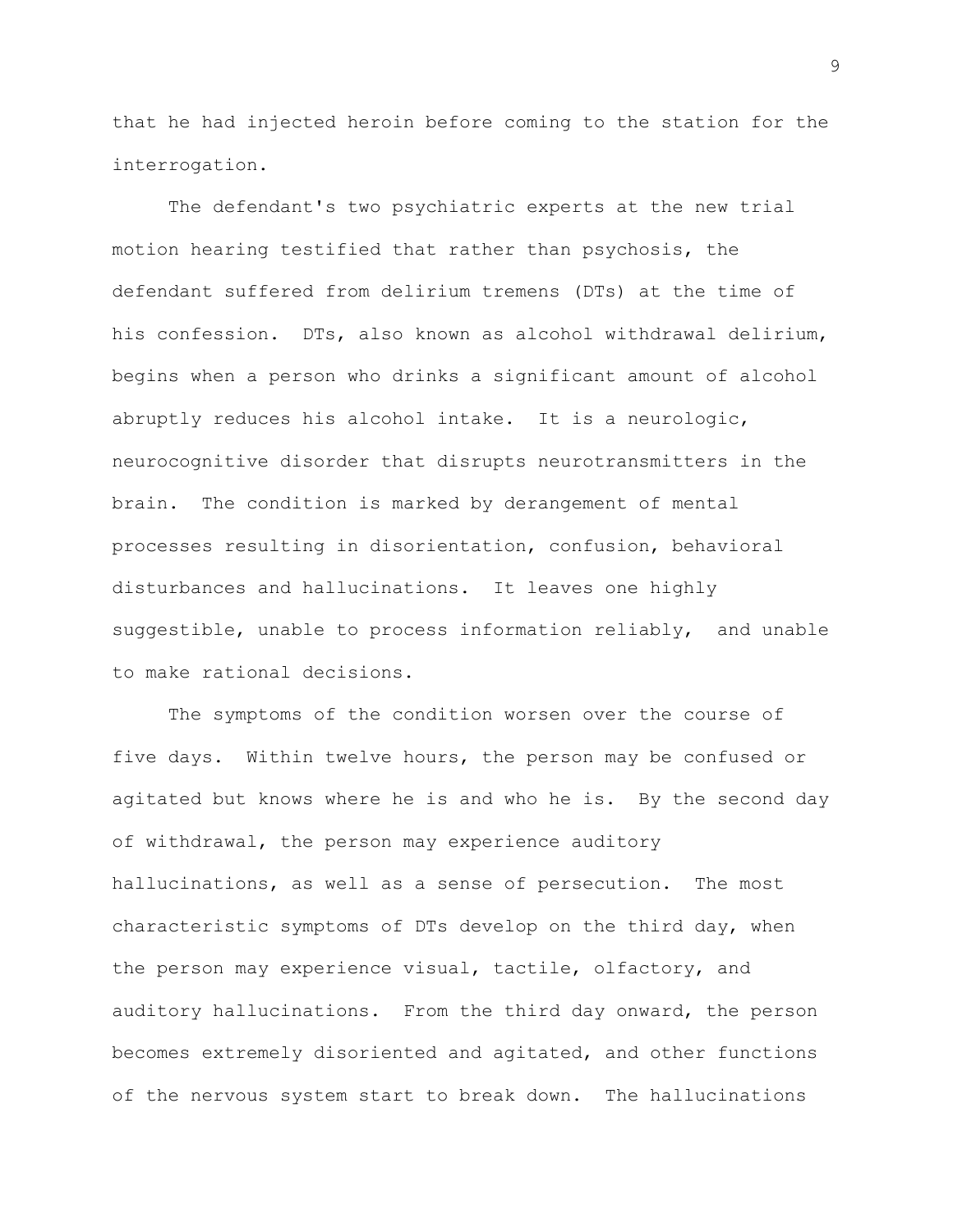that he had injected heroin before coming to the station for the interrogation.

The defendant's two psychiatric experts at the new trial motion hearing testified that rather than psychosis, the defendant suffered from delirium tremens (DTs) at the time of his confession. DTs, also known as alcohol withdrawal delirium, begins when a person who drinks a significant amount of alcohol abruptly reduces his alcohol intake. It is a neurologic, neurocognitive disorder that disrupts neurotransmitters in the brain. The condition is marked by derangement of mental processes resulting in disorientation, confusion, behavioral disturbances and hallucinations. It leaves one highly suggestible, unable to process information reliably, and unable to make rational decisions.

The symptoms of the condition worsen over the course of five days. Within twelve hours, the person may be confused or agitated but knows where he is and who he is. By the second day of withdrawal, the person may experience auditory hallucinations, as well as a sense of persecution. The most characteristic symptoms of DTs develop on the third day, when the person may experience visual, tactile, olfactory, and auditory hallucinations. From the third day onward, the person becomes extremely disoriented and agitated, and other functions of the nervous system start to break down. The hallucinations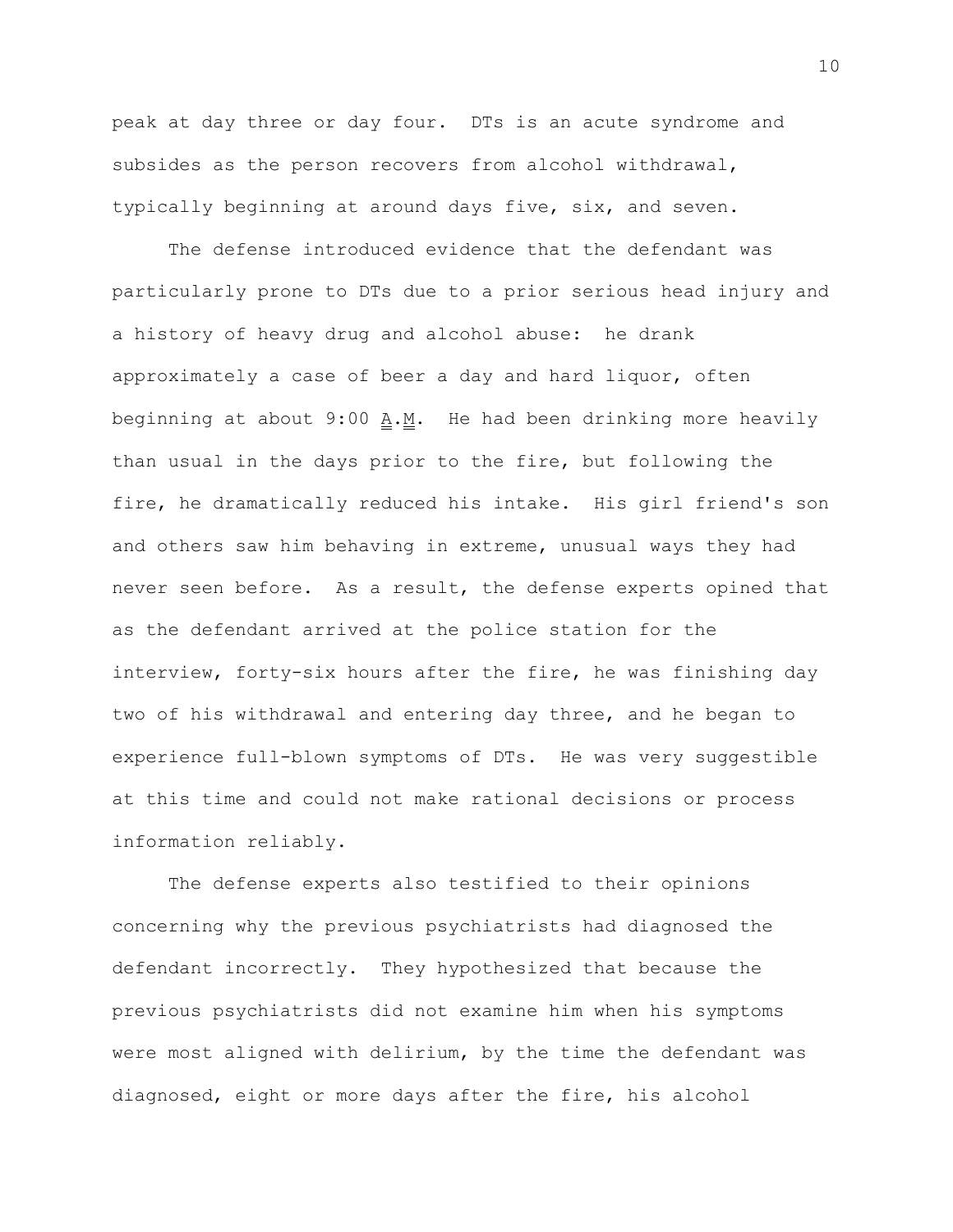peak at day three or day four. DTs is an acute syndrome and subsides as the person recovers from alcohol withdrawal, typically beginning at around days five, six, and seven.

The defense introduced evidence that the defendant was particularly prone to DTs due to a prior serious head injury and a history of heavy drug and alcohol abuse: he drank approximately a case of beer a day and hard liquor, often beginning at about  $9:00$  A.M. He had been drinking more heavily than usual in the days prior to the fire, but following the fire, he dramatically reduced his intake. His girl friend's son and others saw him behaving in extreme, unusual ways they had never seen before. As a result, the defense experts opined that as the defendant arrived at the police station for the interview, forty-six hours after the fire, he was finishing day two of his withdrawal and entering day three, and he began to experience full-blown symptoms of DTs. He was very suggestible at this time and could not make rational decisions or process information reliably.

The defense experts also testified to their opinions concerning why the previous psychiatrists had diagnosed the defendant incorrectly. They hypothesized that because the previous psychiatrists did not examine him when his symptoms were most aligned with delirium, by the time the defendant was diagnosed, eight or more days after the fire, his alcohol

10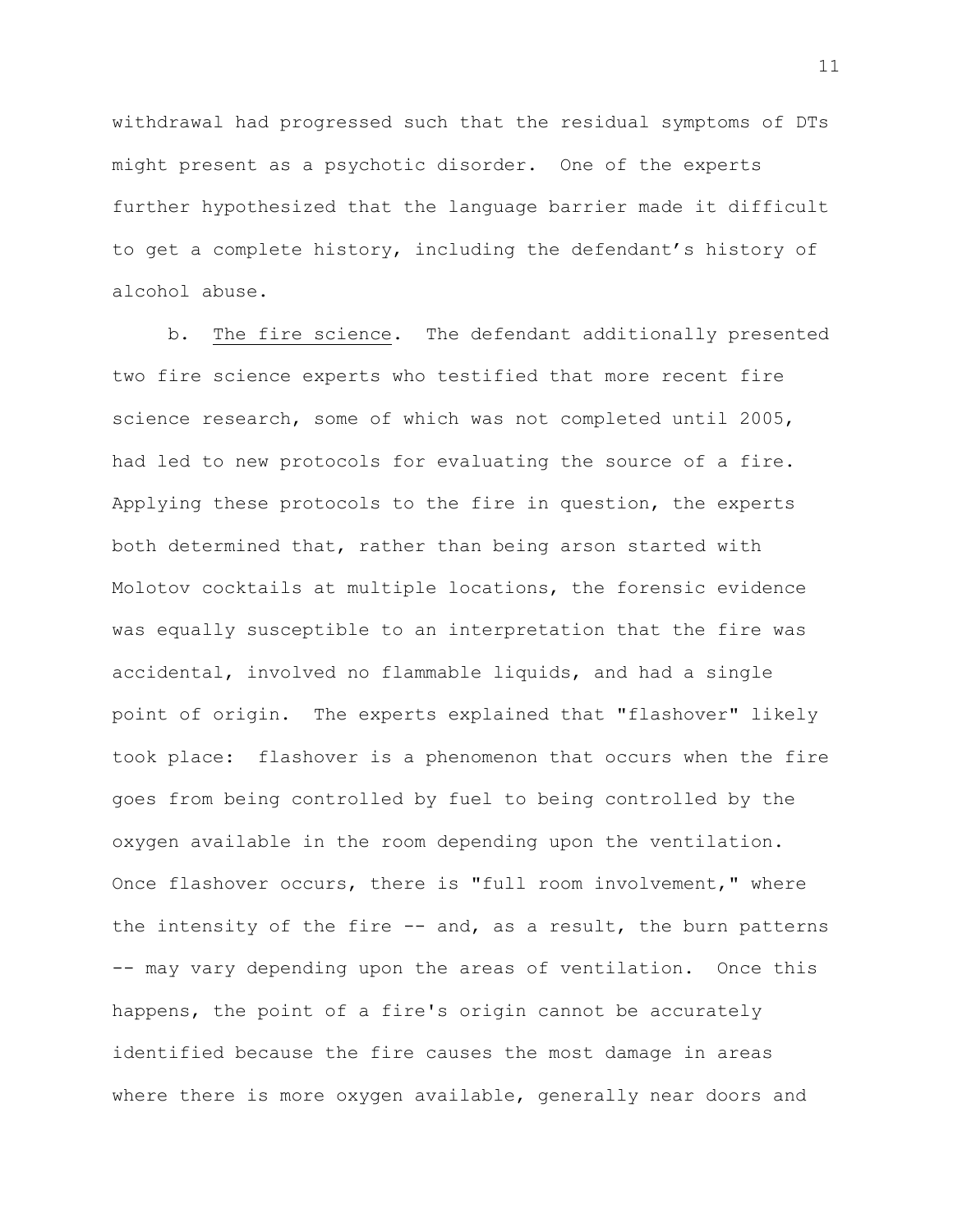withdrawal had progressed such that the residual symptoms of DTs might present as a psychotic disorder. One of the experts further hypothesized that the language barrier made it difficult to get a complete history, including the defendant's history of alcohol abuse.

b. The fire science. The defendant additionally presented two fire science experts who testified that more recent fire science research, some of which was not completed until 2005, had led to new protocols for evaluating the source of a fire. Applying these protocols to the fire in question, the experts both determined that, rather than being arson started with Molotov cocktails at multiple locations, the forensic evidence was equally susceptible to an interpretation that the fire was accidental, involved no flammable liquids, and had a single point of origin. The experts explained that "flashover" likely took place: flashover is a phenomenon that occurs when the fire goes from being controlled by fuel to being controlled by the oxygen available in the room depending upon the ventilation. Once flashover occurs, there is "full room involvement," where the intensity of the fire  $--$  and, as a result, the burn patterns -- may vary depending upon the areas of ventilation. Once this happens, the point of a fire's origin cannot be accurately identified because the fire causes the most damage in areas where there is more oxygen available, generally near doors and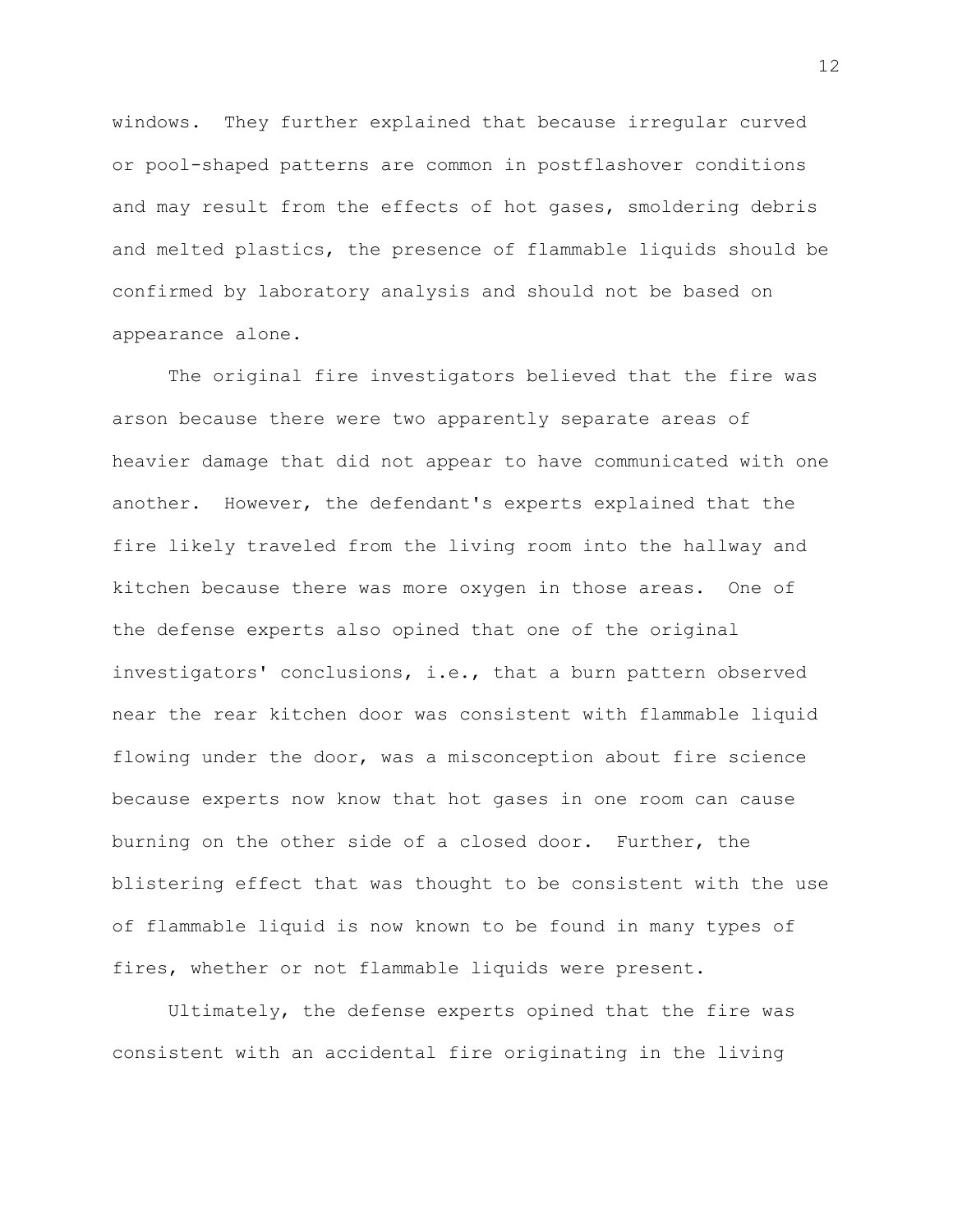windows. They further explained that because irregular curved or pool-shaped patterns are common in postflashover conditions and may result from the effects of hot gases, smoldering debris and melted plastics, the presence of flammable liquids should be confirmed by laboratory analysis and should not be based on appearance alone.

The original fire investigators believed that the fire was arson because there were two apparently separate areas of heavier damage that did not appear to have communicated with one another. However, the defendant's experts explained that the fire likely traveled from the living room into the hallway and kitchen because there was more oxygen in those areas. One of the defense experts also opined that one of the original investigators' conclusions, i.e., that a burn pattern observed near the rear kitchen door was consistent with flammable liquid flowing under the door, was a misconception about fire science because experts now know that hot gases in one room can cause burning on the other side of a closed door. Further, the blistering effect that was thought to be consistent with the use of flammable liquid is now known to be found in many types of fires, whether or not flammable liquids were present.

Ultimately, the defense experts opined that the fire was consistent with an accidental fire originating in the living

12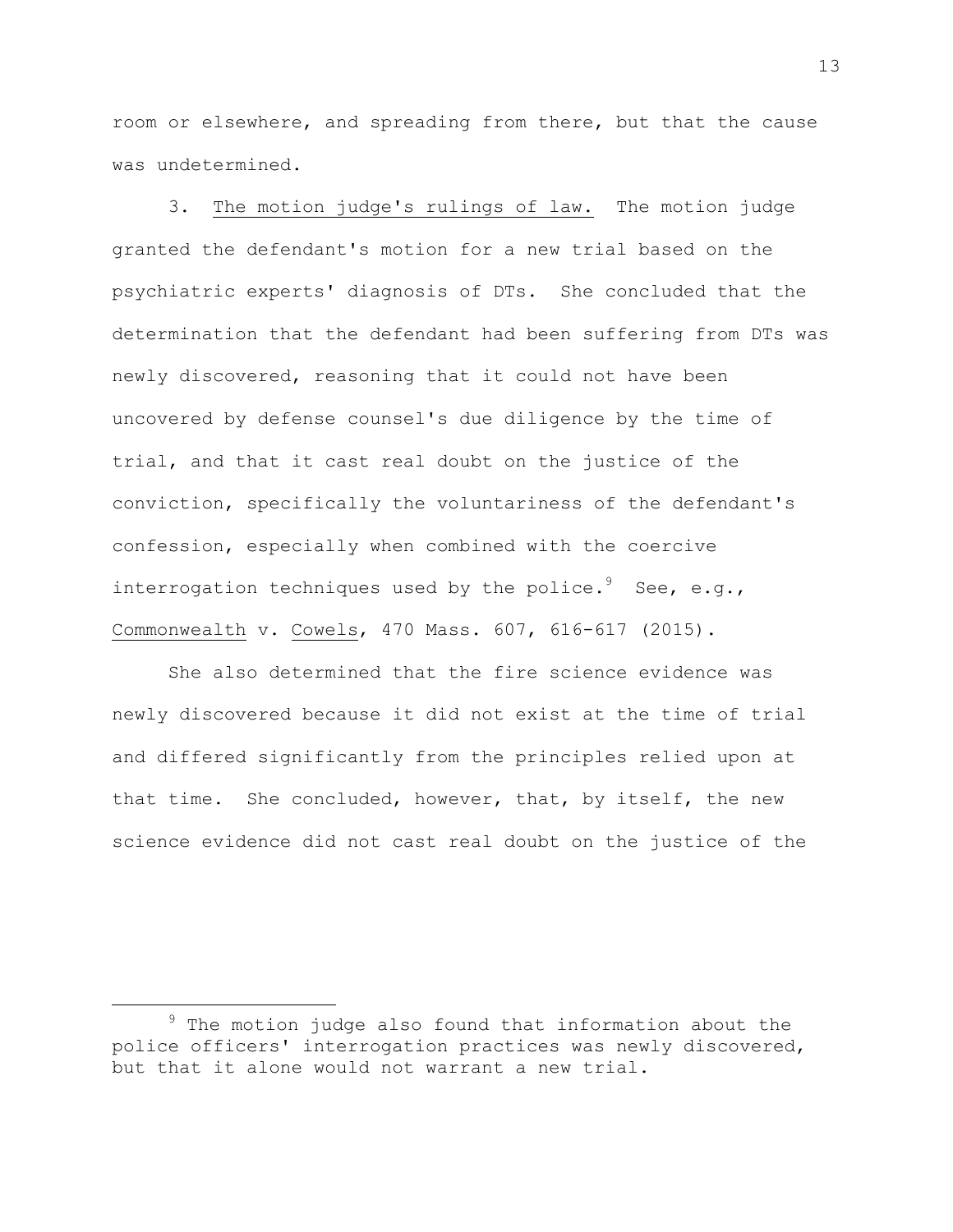room or elsewhere, and spreading from there, but that the cause was undetermined.

3. The motion judge's rulings of law. The motion judge granted the defendant's motion for a new trial based on the psychiatric experts' diagnosis of DTs. She concluded that the determination that the defendant had been suffering from DTs was newly discovered, reasoning that it could not have been uncovered by defense counsel's due diligence by the time of trial, and that it cast real doubt on the justice of the conviction, specifically the voluntariness of the defendant's confession, especially when combined with the coercive interrogation techniques used by the police. $^{9}$  See, e.g., Commonwealth v. Cowels, 470 Mass. 607, 616-617 (2015).

She also determined that the fire science evidence was newly discovered because it did not exist at the time of trial and differed significantly from the principles relied upon at that time. She concluded, however, that, by itself, the new science evidence did not cast real doubt on the justice of the

 $9$  The motion judge also found that information about the police officers' interrogation practices was newly discovered, but that it alone would not warrant a new trial.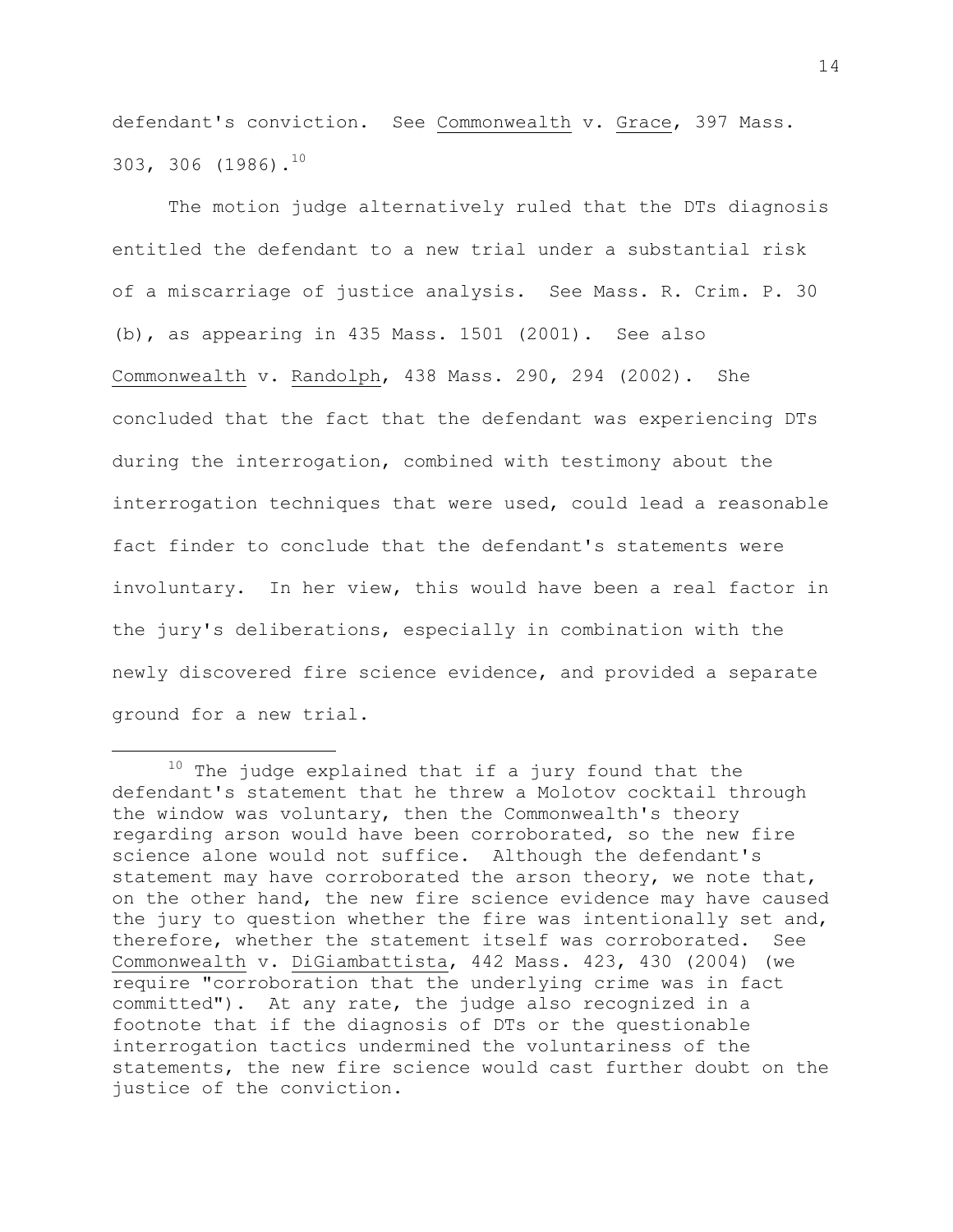defendant's conviction. See Commonwealth v. Grace, 397 Mass. 303, 306 (1986).<sup>10</sup>

The motion judge alternatively ruled that the DTs diagnosis entitled the defendant to a new trial under a substantial risk of a miscarriage of justice analysis. See Mass. R. Crim. P. 30 (b), as appearing in 435 Mass. 1501 (2001). See also Commonwealth v. Randolph, 438 Mass. 290, 294 (2002). She concluded that the fact that the defendant was experiencing DTs during the interrogation, combined with testimony about the interrogation techniques that were used, could lead a reasonable fact finder to conclude that the defendant's statements were involuntary. In her view, this would have been a real factor in the jury's deliberations, especially in combination with the newly discovered fire science evidence, and provided a separate ground for a new trial.

 $10$  The judge explained that if a jury found that the defendant's statement that he threw a Molotov cocktail through the window was voluntary, then the Commonwealth's theory regarding arson would have been corroborated, so the new fire science alone would not suffice. Although the defendant's statement may have corroborated the arson theory, we note that, on the other hand, the new fire science evidence may have caused the jury to question whether the fire was intentionally set and, therefore, whether the statement itself was corroborated. See Commonwealth v. DiGiambattista, 442 Mass. 423, 430 (2004) (we require "corroboration that the underlying crime was in fact committed"). At any rate, the judge also recognized in a footnote that if the diagnosis of DTs or the questionable interrogation tactics undermined the voluntariness of the statements, the new fire science would cast further doubt on the justice of the conviction.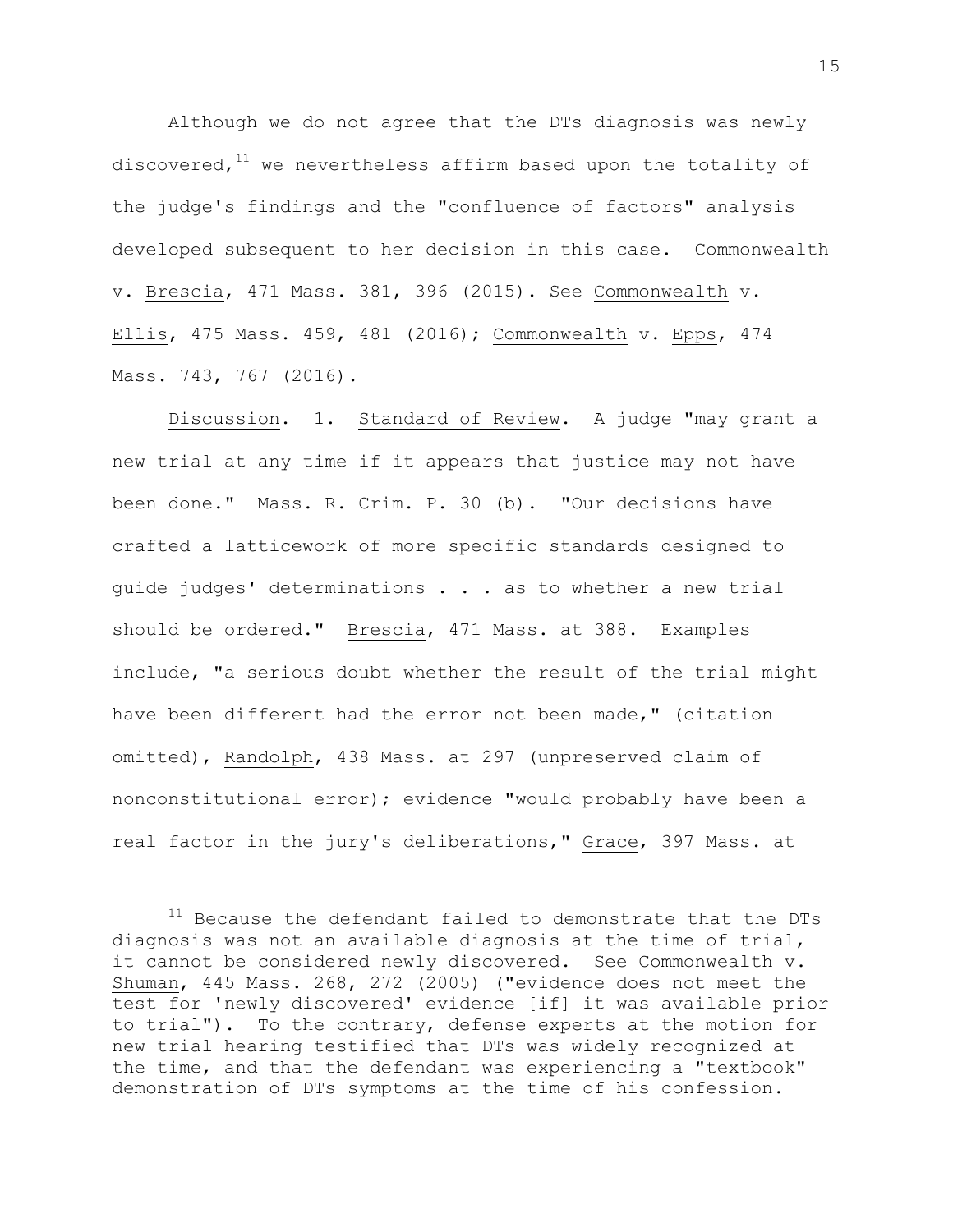Although we do not agree that the DTs diagnosis was newly discovered, $11$  we nevertheless affirm based upon the totality of the judge's findings and the "confluence of factors" analysis developed subsequent to her decision in this case. Commonwealth v. Brescia, 471 Mass. 381, 396 (2015). See Commonwealth v. Ellis, 475 Mass. 459, 481 (2016); Commonwealth v. Epps, 474 Mass. 743, 767 (2016).

Discussion. 1. Standard of Review. A judge "may grant a new trial at any time if it appears that justice may not have been done." Mass. R. Crim. P. 30 (b). "Our decisions have crafted a latticework of more specific standards designed to guide judges' determinations . . . as to whether a new trial should be ordered." Brescia, 471 Mass. at 388. Examples include, "a serious doubt whether the result of the trial might have been different had the error not been made," (citation omitted), Randolph, 438 Mass. at 297 (unpreserved claim of nonconstitutional error); evidence "would probably have been a real factor in the jury's deliberations," Grace, 397 Mass. at

 $11$  Because the defendant failed to demonstrate that the DTs diagnosis was not an available diagnosis at the time of trial, it cannot be considered newly discovered. See Commonwealth v. Shuman, 445 Mass. 268, 272 (2005) ("evidence does not meet the test for 'newly discovered' evidence [if] it was available prior to trial"). To the contrary, defense experts at the motion for new trial hearing testified that DTs was widely recognized at the time, and that the defendant was experiencing a "textbook" demonstration of DTs symptoms at the time of his confession.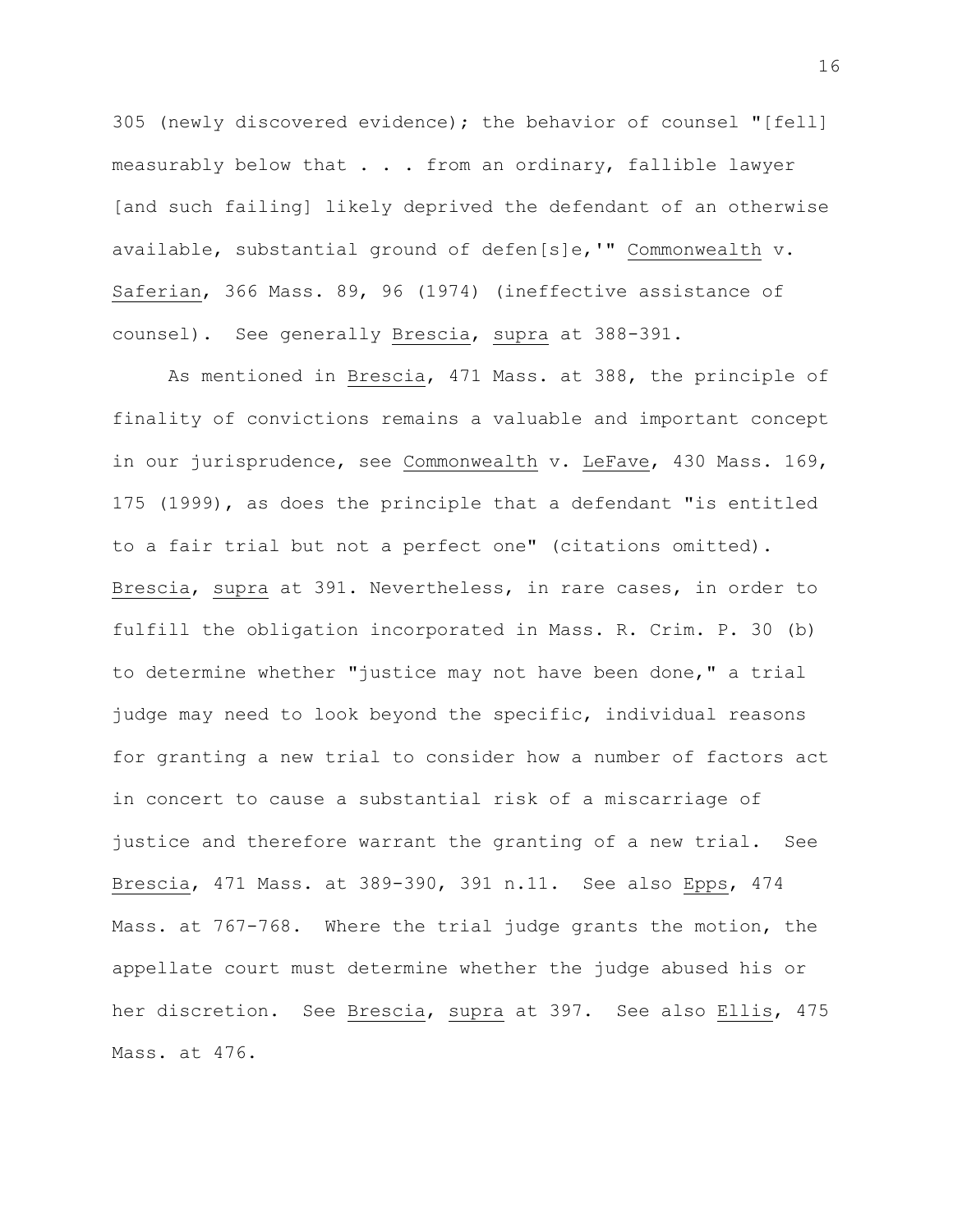305 (newly discovered evidence); the behavior of counsel "[fell] measurably below that . . . from an ordinary, fallible lawyer [and such failing] likely deprived the defendant of an otherwise available, substantial ground of defen[s]e,'" Commonwealth v. Saferian, 366 Mass. 89, 96 (1974) (ineffective assistance of counsel). See generally Brescia, supra at 388-391.

As mentioned in Brescia, 471 Mass. at 388, the principle of finality of convictions remains a valuable and important concept in our jurisprudence, see Commonwealth v. LeFave, 430 Mass. 169, 175 (1999), as does the principle that a defendant "is entitled to a fair trial but not a perfect one" (citations omitted). Brescia, supra at 391. Nevertheless, in rare cases, in order to fulfill the obligation incorporated in Mass. R. Crim. P. 30 (b) to determine whether "justice may not have been done," a trial judge may need to look beyond the specific, individual reasons for granting a new trial to consider how a number of factors act in concert to cause a substantial risk of a miscarriage of justice and therefore warrant the granting of a new trial. See Brescia, 471 Mass. at 389-390, 391 n.11. See also Epps, 474 Mass. at 767-768. Where the trial judge grants the motion, the appellate court must determine whether the judge abused his or her discretion. See Brescia, supra at 397. See also Ellis, 475 Mass. at 476.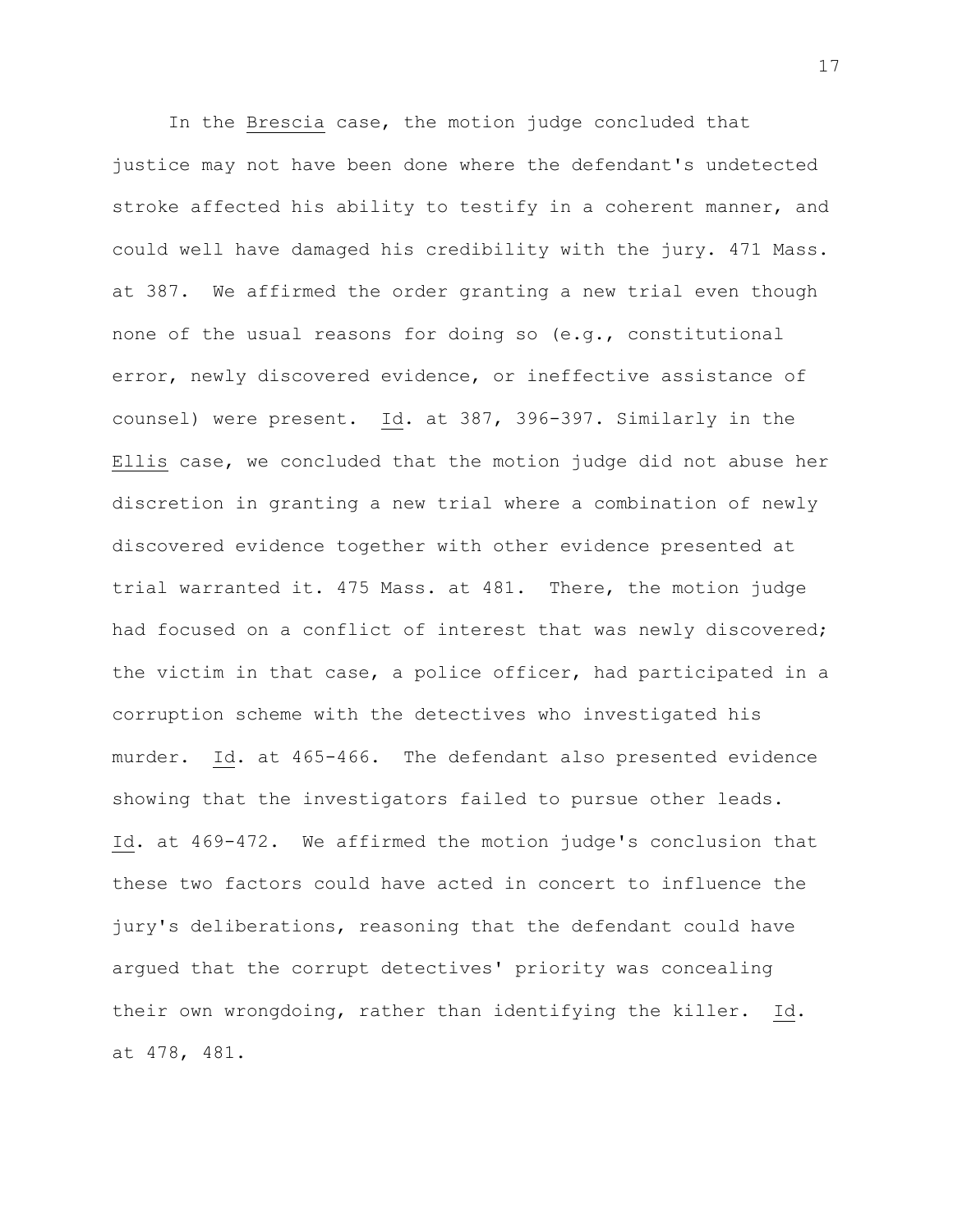In the Brescia case, the motion judge concluded that justice may not have been done where the defendant's undetected stroke affected his ability to testify in a coherent manner, and could well have damaged his credibility with the jury. 471 Mass. at 387. We affirmed the order granting a new trial even though none of the usual reasons for doing so (e.g., constitutional error, newly discovered evidence, or ineffective assistance of counsel) were present. Id. at 387, 396-397. Similarly in the Ellis case, we concluded that the motion judge did not abuse her discretion in granting a new trial where a combination of newly discovered evidence together with other evidence presented at trial warranted it. 475 Mass. at 481. There, the motion judge had focused on a conflict of interest that was newly discovered; the victim in that case, a police officer, had participated in a corruption scheme with the detectives who investigated his murder. Id. at 465-466. The defendant also presented evidence showing that the investigators failed to pursue other leads. Id. at 469-472. We affirmed the motion judge's conclusion that these two factors could have acted in concert to influence the jury's deliberations, reasoning that the defendant could have argued that the corrupt detectives' priority was concealing their own wrongdoing, rather than identifying the killer. Id. at 478, 481.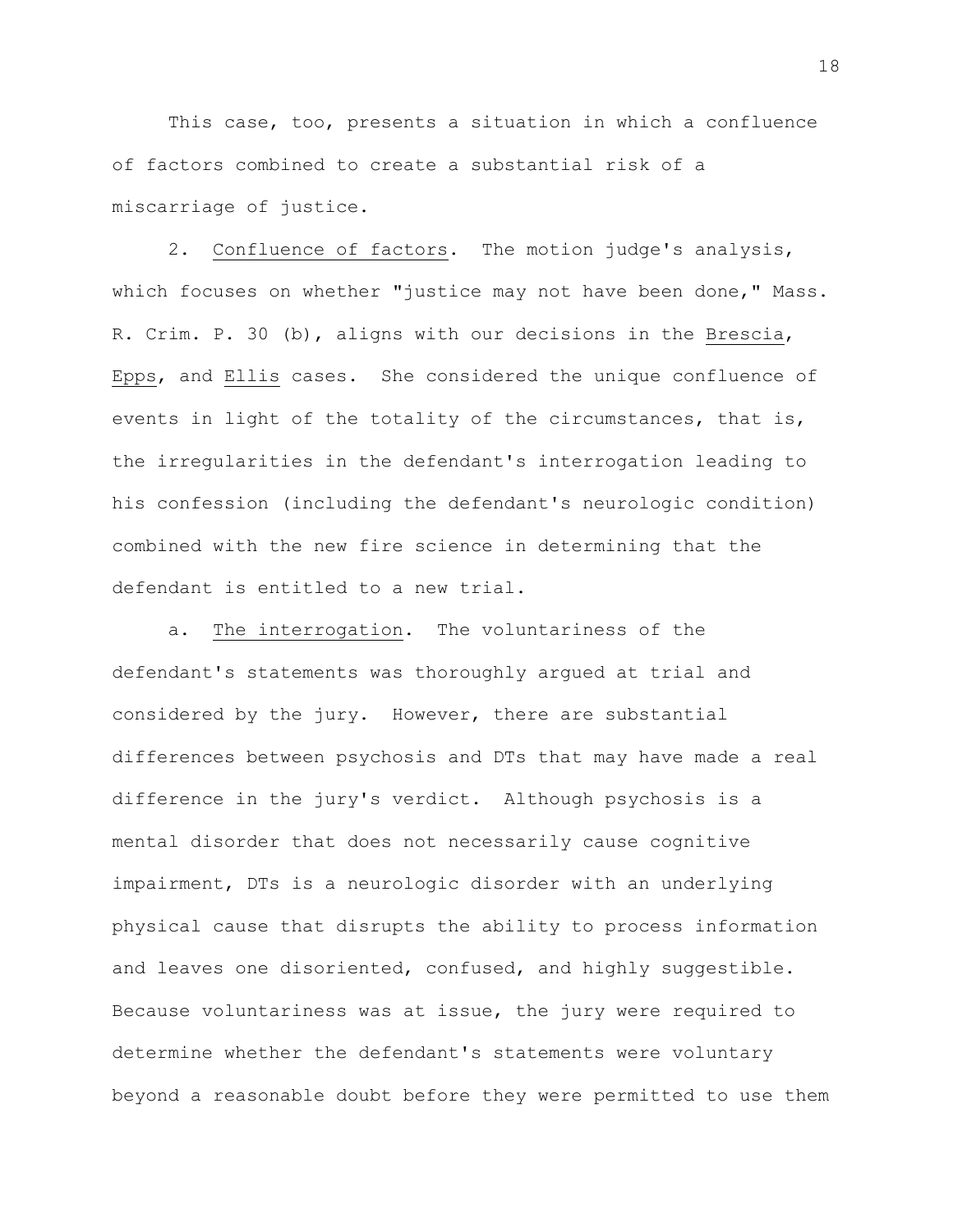This case, too, presents a situation in which a confluence of factors combined to create a substantial risk of a miscarriage of justice.

2. Confluence of factors. The motion judge's analysis, which focuses on whether "justice may not have been done," Mass. R. Crim. P. 30 (b), aligns with our decisions in the Brescia, Epps, and Ellis cases. She considered the unique confluence of events in light of the totality of the circumstances, that is, the irregularities in the defendant's interrogation leading to his confession (including the defendant's neurologic condition) combined with the new fire science in determining that the defendant is entitled to a new trial.

a. The interrogation. The voluntariness of the defendant's statements was thoroughly argued at trial and considered by the jury. However, there are substantial differences between psychosis and DTs that may have made a real difference in the jury's verdict. Although psychosis is a mental disorder that does not necessarily cause cognitive impairment, DTs is a neurologic disorder with an underlying physical cause that disrupts the ability to process information and leaves one disoriented, confused, and highly suggestible. Because voluntariness was at issue, the jury were required to determine whether the defendant's statements were voluntary beyond a reasonable doubt before they were permitted to use them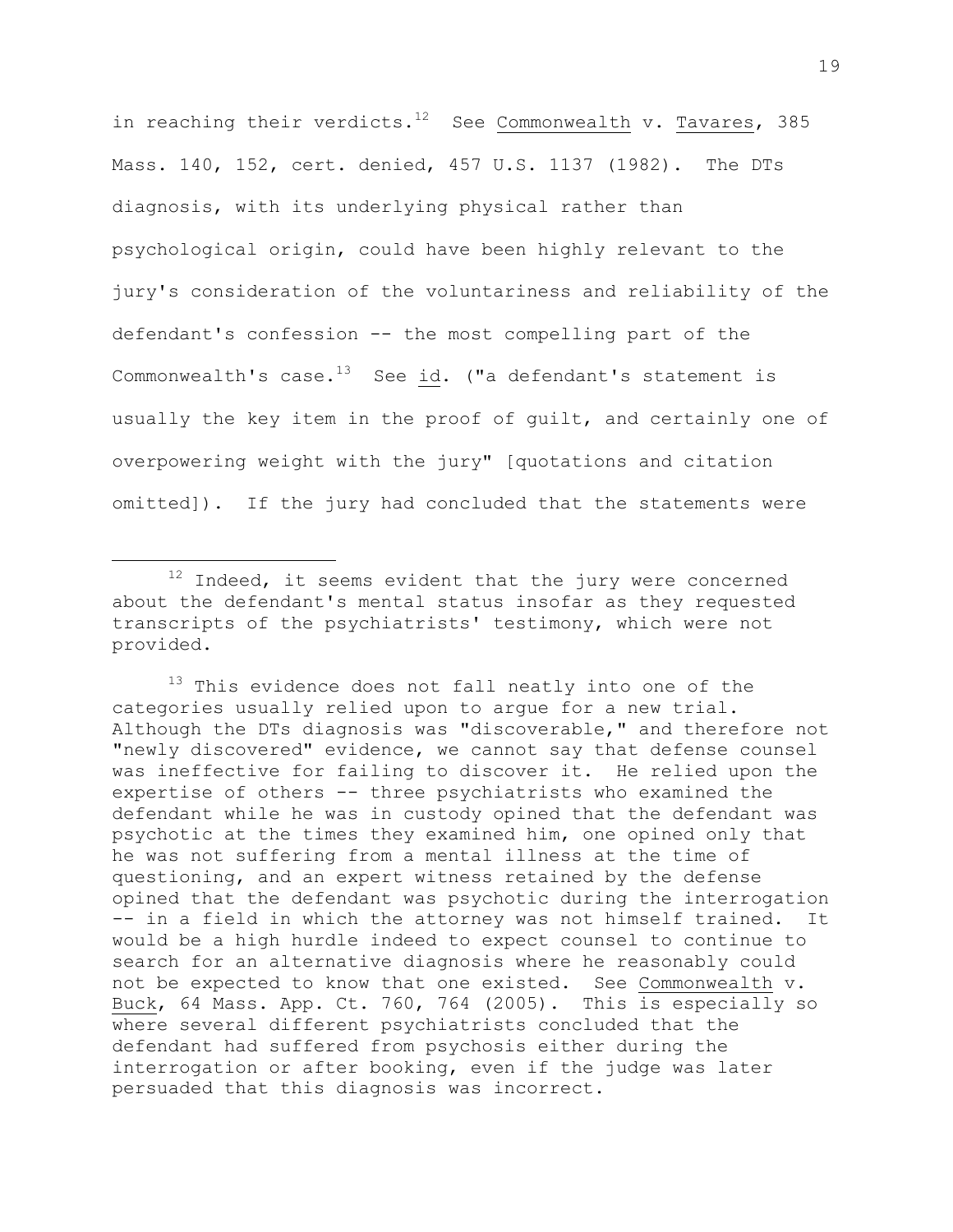in reaching their verdicts.<sup>12</sup> See Commonwealth v. Tavares, 385 Mass. 140, 152, cert. denied, 457 U.S. 1137 (1982). The DTs diagnosis, with its underlying physical rather than psychological origin, could have been highly relevant to the jury's consideration of the voluntariness and reliability of the defendant's confession -- the most compelling part of the Commonwealth's case. $^{13}$  See id. ("a defendant's statement is usually the key item in the proof of guilt, and certainly one of overpowering weight with the jury" [quotations and citation omitted]). If the jury had concluded that the statements were

i<br>L

 $12$  Indeed, it seems evident that the jury were concerned about the defendant's mental status insofar as they requested transcripts of the psychiatrists' testimony, which were not provided.

<sup>&</sup>lt;sup>13</sup> This evidence does not fall neatly into one of the categories usually relied upon to argue for a new trial. Although the DTs diagnosis was "discoverable," and therefore not "newly discovered" evidence, we cannot say that defense counsel was ineffective for failing to discover it. He relied upon the expertise of others -- three psychiatrists who examined the defendant while he was in custody opined that the defendant was psychotic at the times they examined him, one opined only that he was not suffering from a mental illness at the time of questioning, and an expert witness retained by the defense opined that the defendant was psychotic during the interrogation -- in a field in which the attorney was not himself trained. It would be a high hurdle indeed to expect counsel to continue to search for an alternative diagnosis where he reasonably could not be expected to know that one existed. See Commonwealth v. Buck, 64 Mass. App. Ct. 760, 764 (2005). This is especially so where several different psychiatrists concluded that the defendant had suffered from psychosis either during the interrogation or after booking, even if the judge was later persuaded that this diagnosis was incorrect.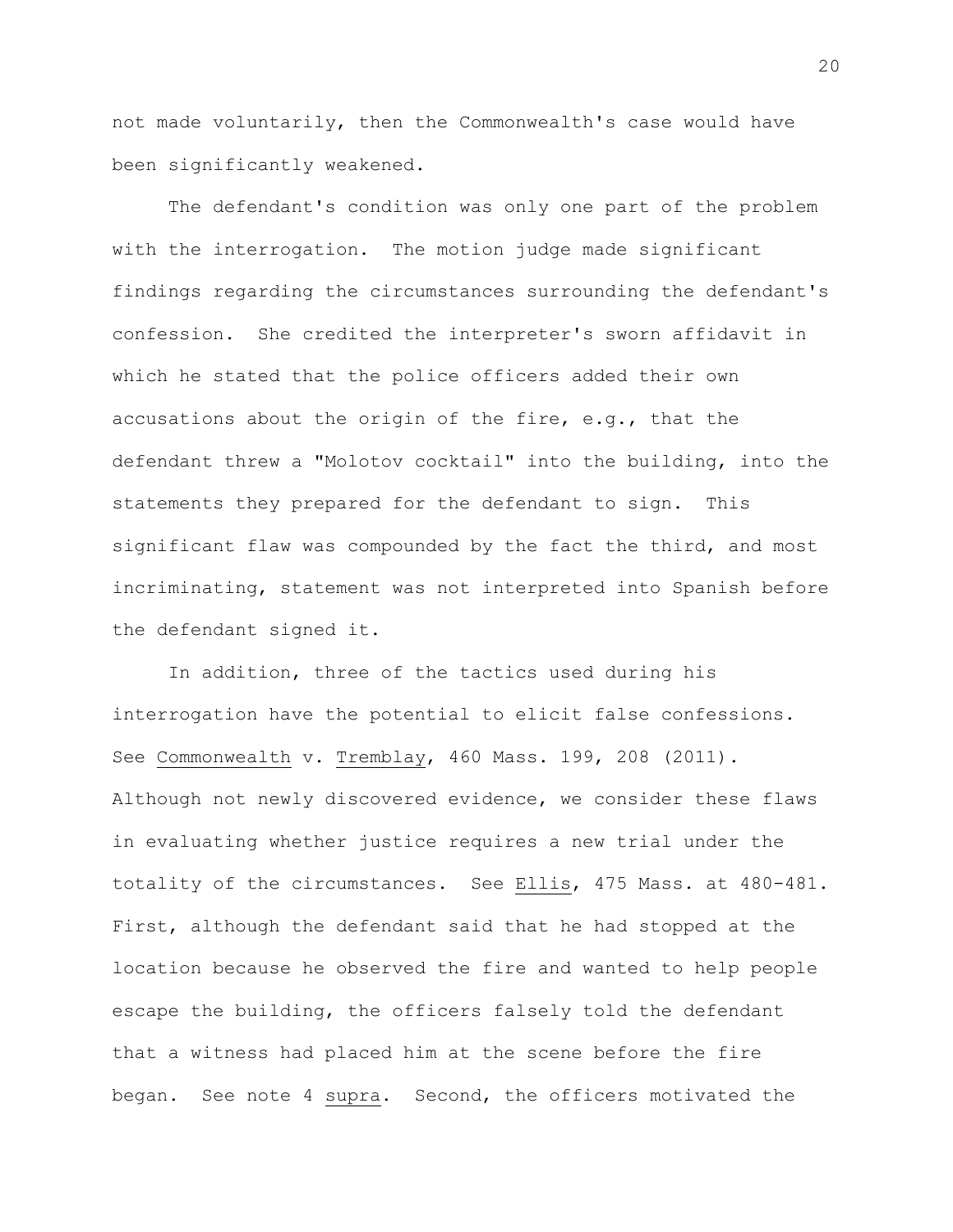not made voluntarily, then the Commonwealth's case would have been significantly weakened.

The defendant's condition was only one part of the problem with the interrogation. The motion judge made significant findings regarding the circumstances surrounding the defendant's confession. She credited the interpreter's sworn affidavit in which he stated that the police officers added their own accusations about the origin of the fire, e.g., that the defendant threw a "Molotov cocktail" into the building, into the statements they prepared for the defendant to sign. This significant flaw was compounded by the fact the third, and most incriminating, statement was not interpreted into Spanish before the defendant signed it.

In addition, three of the tactics used during his interrogation have the potential to elicit false confessions. See Commonwealth v. Tremblay, 460 Mass. 199, 208 (2011). Although not newly discovered evidence, we consider these flaws in evaluating whether justice requires a new trial under the totality of the circumstances. See Ellis, 475 Mass. at 480-481. First, although the defendant said that he had stopped at the location because he observed the fire and wanted to help people escape the building, the officers falsely told the defendant that a witness had placed him at the scene before the fire began. See note 4 supra. Second, the officers motivated the

20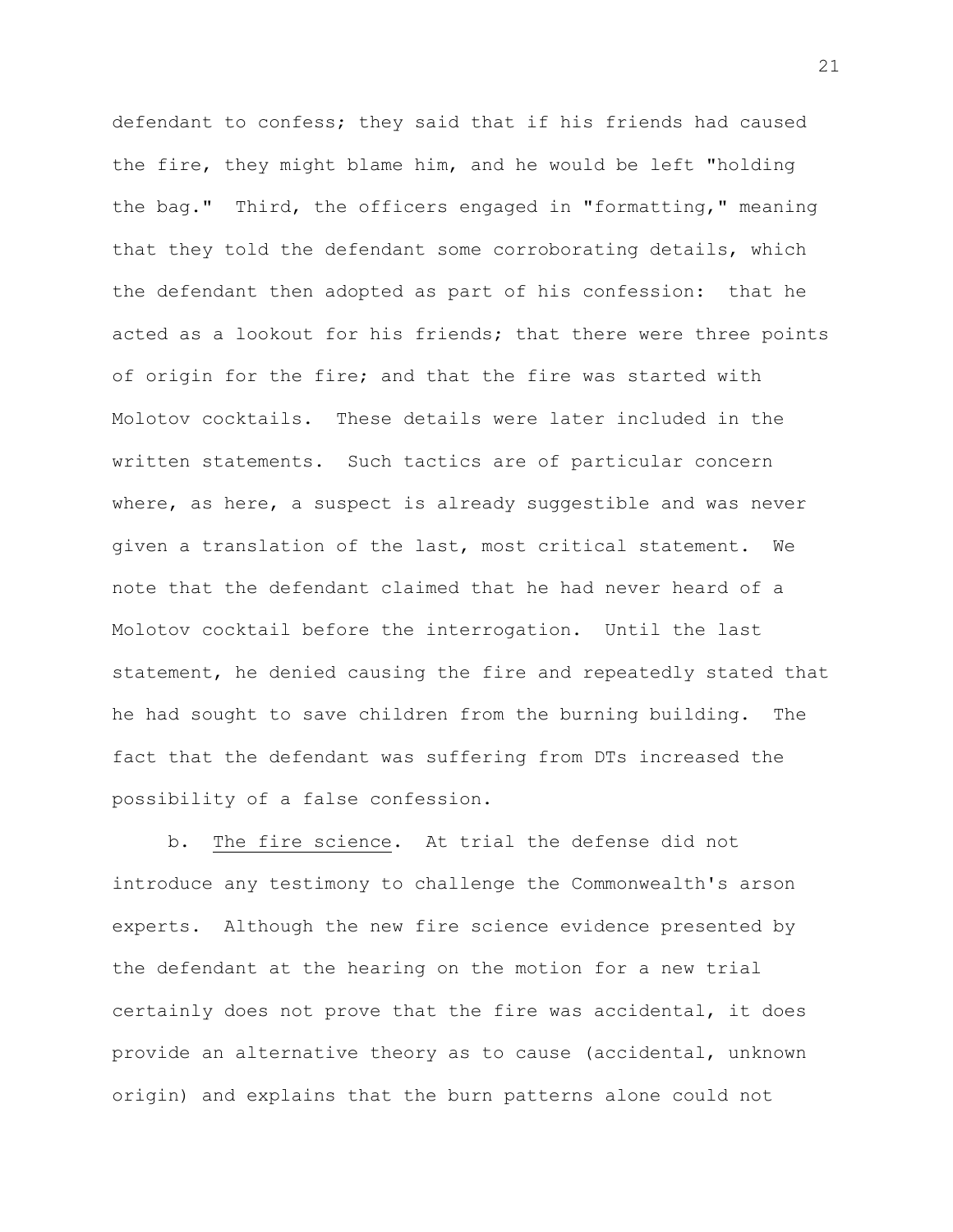defendant to confess; they said that if his friends had caused the fire, they might blame him, and he would be left "holding the bag." Third, the officers engaged in "formatting," meaning that they told the defendant some corroborating details, which the defendant then adopted as part of his confession: that he acted as a lookout for his friends; that there were three points of origin for the fire; and that the fire was started with Molotov cocktails. These details were later included in the written statements. Such tactics are of particular concern where, as here, a suspect is already suggestible and was never given a translation of the last, most critical statement. We note that the defendant claimed that he had never heard of a Molotov cocktail before the interrogation. Until the last statement, he denied causing the fire and repeatedly stated that he had sought to save children from the burning building. The fact that the defendant was suffering from DTs increased the possibility of a false confession.

b. The fire science. At trial the defense did not introduce any testimony to challenge the Commonwealth's arson experts. Although the new fire science evidence presented by the defendant at the hearing on the motion for a new trial certainly does not prove that the fire was accidental, it does provide an alternative theory as to cause (accidental, unknown origin) and explains that the burn patterns alone could not

21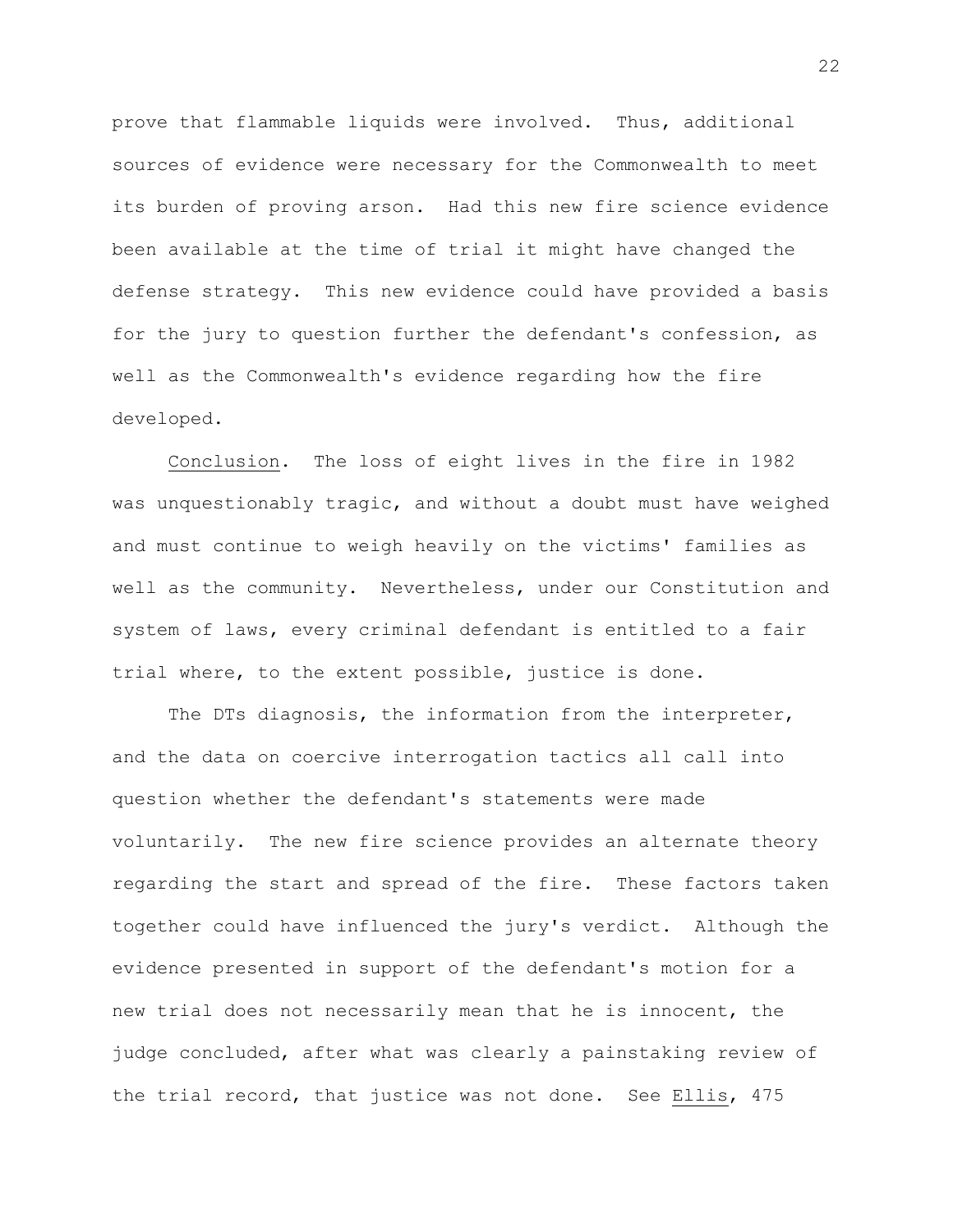prove that flammable liquids were involved. Thus, additional sources of evidence were necessary for the Commonwealth to meet its burden of proving arson. Had this new fire science evidence been available at the time of trial it might have changed the defense strategy. This new evidence could have provided a basis for the jury to question further the defendant's confession, as well as the Commonwealth's evidence regarding how the fire developed.

Conclusion. The loss of eight lives in the fire in 1982 was unquestionably tragic, and without a doubt must have weighed and must continue to weigh heavily on the victims' families as well as the community. Nevertheless, under our Constitution and system of laws, every criminal defendant is entitled to a fair trial where, to the extent possible, justice is done.

The DTs diagnosis, the information from the interpreter, and the data on coercive interrogation tactics all call into question whether the defendant's statements were made voluntarily. The new fire science provides an alternate theory regarding the start and spread of the fire. These factors taken together could have influenced the jury's verdict. Although the evidence presented in support of the defendant's motion for a new trial does not necessarily mean that he is innocent, the judge concluded, after what was clearly a painstaking review of the trial record, that justice was not done. See Ellis, 475